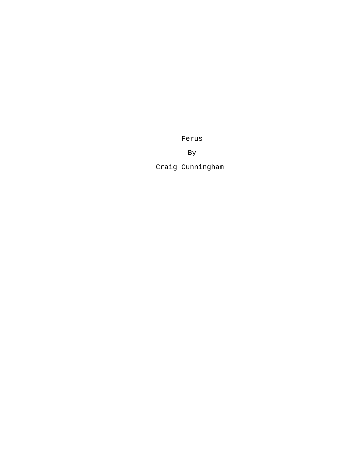Ferus

By

Craig Cunningham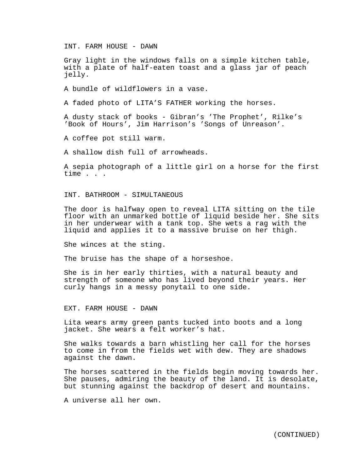INT. FARM HOUSE - DAWN

Gray light in the windows falls on a simple kitchen table, with a plate of half-eaten toast and a glass jar of peach jelly.

A bundle of wildflowers in a vase.

A faded photo of LITA'S FATHER working the horses.

A dusty stack of books - Gibran's 'The Prophet', Rilke's 'Book of Hours', Jim Harrison's 'Songs of Unreason'.

A coffee pot still warm.

A shallow dish full of arrowheads.

A sepia photograph of a little girl on a horse for the first time . . .

INT. BATHROOM - SIMULTANEOUS

The door is halfway open to reveal LITA sitting on the tile floor with an unmarked bottle of liquid beside her. She sits in her underwear with a tank top. She wets a rag with the liquid and applies it to a massive bruise on her thigh.

She winces at the sting.

The bruise has the shape of a horseshoe.

She is in her early thirties, with a natural beauty and strength of someone who has lived beyond their years. Her curly hangs in a messy ponytail to one side.

EXT. FARM HOUSE - DAWN

Lita wears army green pants tucked into boots and a long jacket. She wears a felt worker's hat.

She walks towards a barn whistling her call for the horses to come in from the fields wet with dew. They are shadows against the dawn.

The horses scattered in the fields begin moving towards her. She pauses, admiring the beauty of the land. It is desolate, but stunning against the backdrop of desert and mountains.

A universe all her own.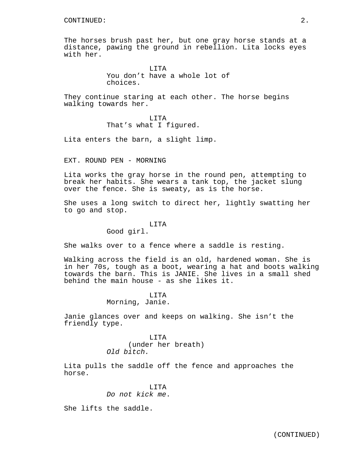The horses brush past her, but one gray horse stands at a distance, pawing the ground in rebellion. Lita locks eyes with her.

> LITA You don't have a whole lot of choices.

They continue staring at each other. The horse begins walking towards her.

> LITA That's what I figured.

Lita enters the barn, a slight limp.

EXT. ROUND PEN - MORNING

Lita works the gray horse in the round pen, attempting to break her habits. She wears a tank top, the jacket slung over the fence. She is sweaty, as is the horse.

She uses a long switch to direct her, lightly swatting her to go and stop.

## LITA

Good girl.

She walks over to a fence where a saddle is resting.

Walking across the field is an old, hardened woman. She is in her 70s, tough as a boot, wearing a hat and boots walking towards the barn. This is JANIE. She lives in a small shed behind the main house - as she likes it.

# LITA Morning, Janie.

Janie glances over and keeps on walking. She isn't the friendly type.

> LITA (under her breath) *Old bitch.*

Lita pulls the saddle off the fence and approaches the horse.

# LITA *Do not kick me*.

She lifts the saddle.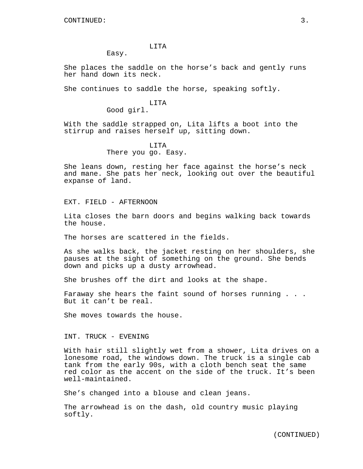### LITA

Easy.

She places the saddle on the horse's back and gently runs her hand down its neck.

She continues to saddle the horse, speaking softly.

# LITA Good girl.

With the saddle strapped on, Lita lifts a boot into the stirrup and raises herself up, sitting down.

# LITA There you go. Easy.

She leans down, resting her face against the horse's neck and mane. She pats her neck, looking out over the beautiful expanse of land.

# EXT. FIELD - AFTERNOON

Lita closes the barn doors and begins walking back towards the house.

The horses are scattered in the fields.

As she walks back, the jacket resting on her shoulders, she pauses at the sight of something on the ground. She bends down and picks up a dusty arrowhead.

She brushes off the dirt and looks at the shape.

Faraway she hears the faint sound of horses running . . . But it can't be real.

She moves towards the house.

# INT. TRUCK - EVENING

With hair still slightly wet from a shower, Lita drives on a lonesome road, the windows down. The truck is a single cab tank from the early 90s, with a cloth bench seat the same red color as the accent on the side of the truck. It's been well-maintained.

She's changed into a blouse and clean jeans.

The arrowhead is on the dash, old country music playing softly.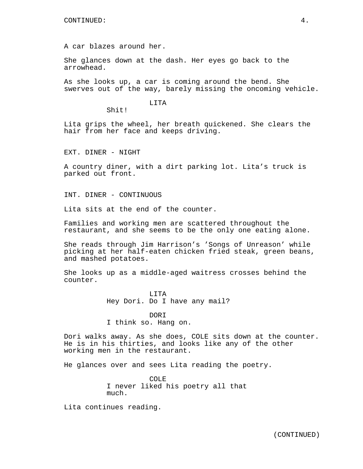A car blazes around her.

Shit!

She glances down at the dash. Her eyes go back to the arrowhead.

As she looks up, a car is coming around the bend. She swerves out of the way, barely missing the oncoming vehicle.

LITA

Lita grips the wheel, her breath quickened. She clears the hair from her face and keeps driving.

EXT. DINER - NIGHT

A country diner, with a dirt parking lot. Lita's truck is parked out front.

INT. DINER - CONTINUOUS

Lita sits at the end of the counter.

Families and working men are scattered throughout the restaurant, and she seems to be the only one eating alone.

She reads through Jim Harrison's 'Songs of Unreason' while picking at her half-eaten chicken fried steak, green beans, and mashed potatoes.

She looks up as a middle-aged waitress crosses behind the counter.

> LITA Hey Dori. Do I have any mail?

DORI I think so. Hang on.

Dori walks away. As she does, COLE sits down at the counter. He is in his thirties, and looks like any of the other working men in the restaurant.

He glances over and sees Lita reading the poetry.

COLE I never liked his poetry all that much.

Lita continues reading.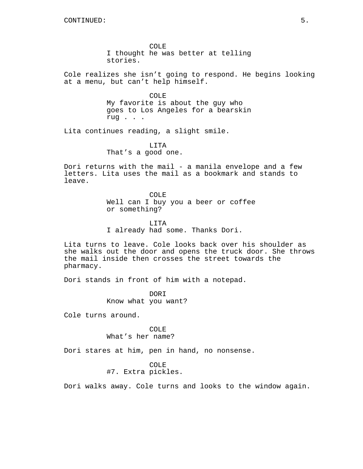COLE I thought he was better at telling stories.

Cole realizes she isn't going to respond. He begins looking at a menu, but can't help himself.

> COLE My favorite is about the guy who goes to Los Angeles for a bearskin rug . . .

Lita continues reading, a slight smile.

LITA That's a good one.

Dori returns with the mail - a manila envelope and a few letters. Lita uses the mail as a bookmark and stands to leave.

> COLE Well can I buy you a beer or coffee or something?

LITA I already had some. Thanks Dori.

Lita turns to leave. Cole looks back over his shoulder as she walks out the door and opens the truck door. She throws the mail inside then crosses the street towards the pharmacy.

Dori stands in front of him with a notepad.

DORI Know what you want?

Cole turns around.

COLE What's her name?

Dori stares at him, pen in hand, no nonsense.

COLE

#7. Extra pickles.

Dori walks away. Cole turns and looks to the window again.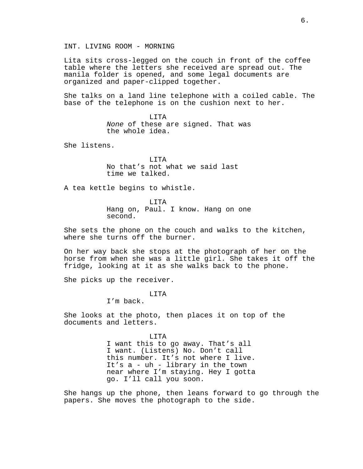INT. LIVING ROOM - MORNING

Lita sits cross-legged on the couch in front of the coffee table where the letters she received are spread out. The manila folder is opened, and some legal documents are organized and paper-clipped together.

She talks on a land line telephone with a coiled cable. The base of the telephone is on the cushion next to her.

> LITA *None* of these are signed. That was the whole idea.

She listens.

LITA No that's not what we said last time we talked.

A tea kettle begins to whistle.

LITA Hang on, Paul. I know. Hang on one second.

She sets the phone on the couch and walks to the kitchen, where she turns off the burner.

On her way back she stops at the photograph of her on the horse from when she was a little girl. She takes it off the fridge, looking at it as she walks back to the phone.

She picks up the receiver.

### LITA

I'm back.

She looks at the photo, then places it on top of the documents and letters.

LITA

I want this to go away. That's all I want. (Listens) No. Don't call this number. It's not where I live. It's a - uh - library in the town near where I'm staying. Hey I gotta go. I'll call you soon.

She hangs up the phone, then leans forward to go through the papers. She moves the photograph to the side.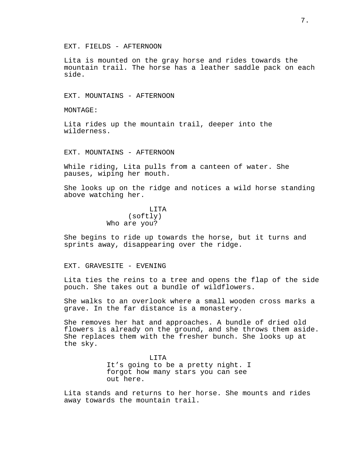EXT. FIELDS - AFTERNOON

Lita is mounted on the gray horse and rides towards the mountain trail. The horse has a leather saddle pack on each side.

EXT. MOUNTAINS - AFTERNOON

MONTAGE:

Lita rides up the mountain trail, deeper into the wilderness.

EXT. MOUNTAINS - AFTERNOON

While riding, Lita pulls from a canteen of water. She pauses, wiping her mouth.

She looks up on the ridge and notices a wild horse standing above watching her.

> LITA (softly) Who are you?

She begins to ride up towards the horse, but it turns and sprints away, disappearing over the ridge.

### EXT. GRAVESITE - EVENING

Lita ties the reins to a tree and opens the flap of the side pouch. She takes out a bundle of wildflowers.

She walks to an overlook where a small wooden cross marks a grave. In the far distance is a monastery.

She removes her hat and approaches. A bundle of dried old flowers is already on the ground, and she throws them aside. She replaces them with the fresher bunch. She looks up at the sky.

> LITA It's going to be a pretty night. I forgot how many stars you can see out here.

Lita stands and returns to her horse. She mounts and rides away towards the mountain trail.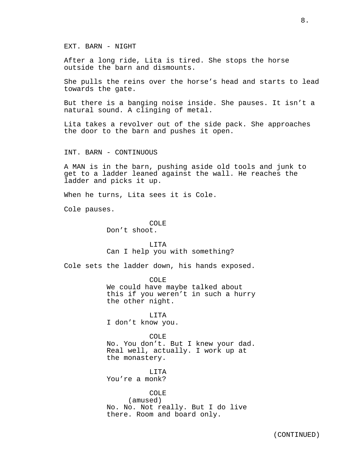EXT. BARN - NIGHT

After a long ride, Lita is tired. She stops the horse outside the barn and dismounts.

She pulls the reins over the horse's head and starts to lead towards the gate.

But there is a banging noise inside. She pauses. It isn't a natural sound. A clinging of metal.

Lita takes a revolver out of the side pack. She approaches the door to the barn and pushes it open.

INT. BARN - CONTINUOUS

A MAN is in the barn, pushing aside old tools and junk to get to a ladder leaned against the wall. He reaches the ladder and picks it up.

When he turns, Lita sees it is Cole.

Cole pauses.

COLE Don't shoot.

LITA Can I help you with something?

Cole sets the ladder down, his hands exposed.

COLE

We could have maybe talked about this if you weren't in such a hurry the other night.

LITA I don't know you.

COLE. No. You don't. But I knew your dad. Real well, actually. I work up at the monastery.

LITA You're a monk?

# COLE

(amused) No. No. Not really. But I do live there. Room and board only.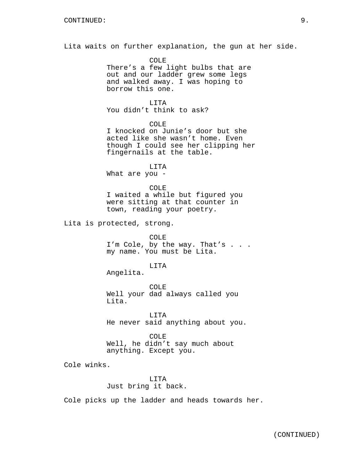Lita waits on further explanation, the gun at her side.

COLE There's a few light bulbs that are out and our ladder grew some legs and walked away. I was hoping to borrow this one.

LITA You didn't think to ask?

COLE

I knocked on Junie's door but she acted like she wasn't home. Even though I could see her clipping her fingernails at the table.

LITA What are you -

COLE I waited a while but figured you were sitting at that counter in town, reading your poetry.

Lita is protected, strong.

COLE I'm Cole, by the way. That's . . . my name. You must be Lita.

LITA

Angelita.

COLE Well your dad always called you Lita.

LITA He never said anything about you.

COLE Well, he didn't say much about anything. Except you.

Cole winks.

LITA Just bring it back.

Cole picks up the ladder and heads towards her.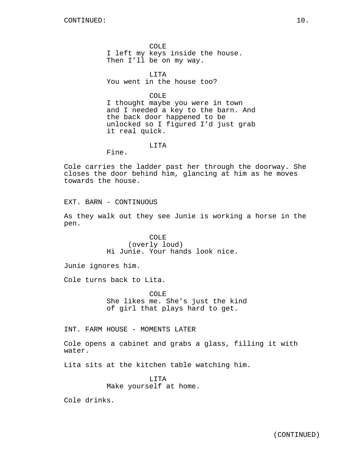COLE I left my keys inside the house. Then I'll be on my way.

LITA You went in the house too?

COLE

I thought maybe you were in town and I needed a key to the barn. And the back door happened to be unlocked so I figured I'd just grab it real quick.

LITA

Fine.

Cole carries the ladder past her through the doorway. She closes the door behind him, glancing at him as he moves towards the house.

EXT. BARN - CONTINUOUS

As they walk out they see Junie is working a horse in the pen.

> COLE (overly loud) Hi Junie. Your hands look nice.

Junie ignores him.

Cole turns back to Lita.

COLE She likes me. She's just the kind of girl that plays hard to get.

INT. FARM HOUSE - MOMENTS LATER

Cole opens a cabinet and grabs a glass, filling it with water.

Lita sits at the kitchen table watching him.

LITA Make yourself at home.

Cole drinks.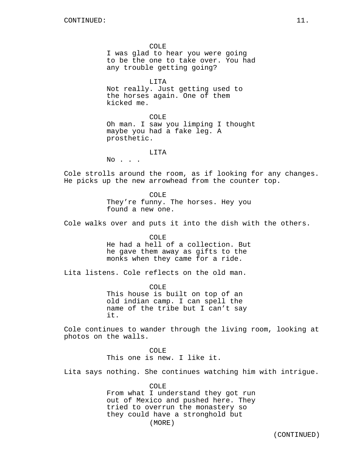COLE I was glad to hear you were going to be the one to take over. You had any trouble getting going?

LITA Not really. Just getting used to the horses again. One of them kicked me.

COLE Oh man. I saw you limping I thought maybe you had a fake leg. A prosthetic.

### LITA

No . . .

Cole strolls around the room, as if looking for any changes. He picks up the new arrowhead from the counter top.

> COLE They're funny. The horses. Hey you found a new one.

Cole walks over and puts it into the dish with the others.

COLE He had a hell of a collection. But he gave them away as gifts to the monks when they came for a ride.

Lita listens. Cole reflects on the old man.

COLE This house is built on top of an old indian camp. I can spell the name of the tribe but I can't say it.

Cole continues to wander through the living room, looking at photos on the walls.

> COLE This one is new. I like it.

Lita says nothing. She continues watching him with intrigue.

COLE From what I understand they got run out of Mexico and pushed here. They tried to overrun the monastery so they could have a stronghold but (MORE)

(CONTINUED)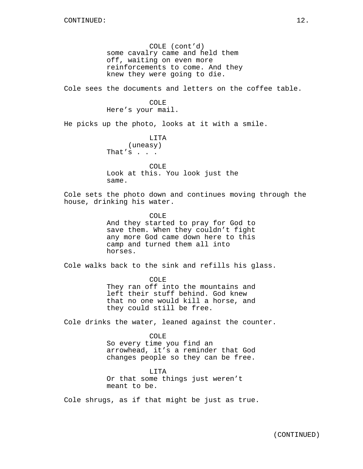COLE (cont'd) some cavalry came and held them off, waiting on even more reinforcements to come. And they knew they were going to die.

Cole sees the documents and letters on the coffee table.

# COLE Here's your mail.

He picks up the photo, looks at it with a smile.

# LITA

(uneasy) That's . . .

COLE Look at this. You look just the same.

Cole sets the photo down and continues moving through the house, drinking his water.

> COLE And they started to pray for God to save them. When they couldn't fight any more God came down here to this camp and turned them all into horses.

Cole walks back to the sink and refills his glass.

COLE They ran off into the mountains and left their stuff behind. God knew that no one would kill a horse, and they could still be free.

Cole drinks the water, leaned against the counter.

# COLE So every time you find an arrowhead, it's a reminder that God changes people so they can be free.

LITA Or that some things just weren't meant to be.

Cole shrugs, as if that might be just as true.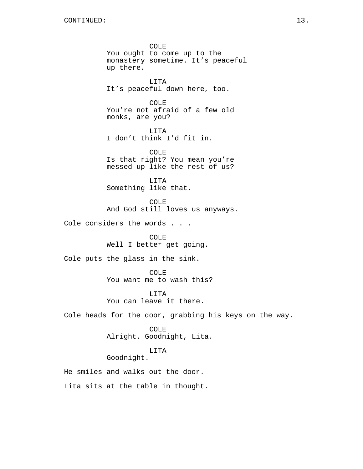COLE You ought to come up to the monastery sometime. It's peaceful up there. LITA It's peaceful down here, too. COLE You're not afraid of a few old monks, are you? LITA I don't think I'd fit in. COLE Is that right? You mean you're messed up like the rest of us? LITA Something like that. COLE And God still loves us anyways. Cole considers the words . . . COLE Well I better get going. Cole puts the glass in the sink. COLE You want me to wash this? LITA You can leave it there. Cole heads for the door, grabbing his keys on the way. COLE Alright. Goodnight, Lita. LITA Goodnight.

He smiles and walks out the door. Lita sits at the table in thought.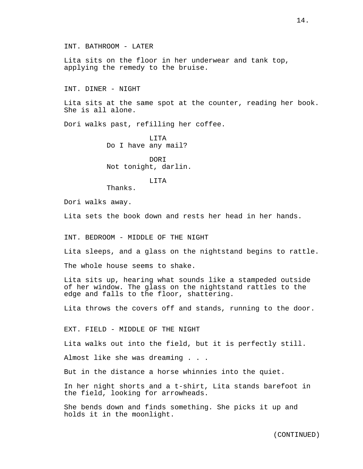INT. BATHROOM - LATER

Lita sits on the floor in her underwear and tank top, applying the remedy to the bruise.

INT. DINER - NIGHT

Lita sits at the same spot at the counter, reading her book. She is all alone.

Dori walks past, refilling her coffee.

LITA Do I have any mail?

DORI Not tonight, darlin.

### LITA

Thanks.

Dori walks away.

Lita sets the book down and rests her head in her hands.

INT. BEDROOM - MIDDLE OF THE NIGHT

Lita sleeps, and a glass on the nightstand begins to rattle.

The whole house seems to shake.

Lita sits up, hearing what sounds like a stampeded outside of her window. The glass on the nightstand rattles to the edge and falls to the floor, shattering.

Lita throws the covers off and stands, running to the door.

EXT. FIELD - MIDDLE OF THE NIGHT

Lita walks out into the field, but it is perfectly still.

Almost like she was dreaming . . .

But in the distance a horse whinnies into the quiet.

In her night shorts and a t-shirt, Lita stands barefoot in the field, looking for arrowheads.

She bends down and finds something. She picks it up and holds it in the moonlight.

(CONTINUED)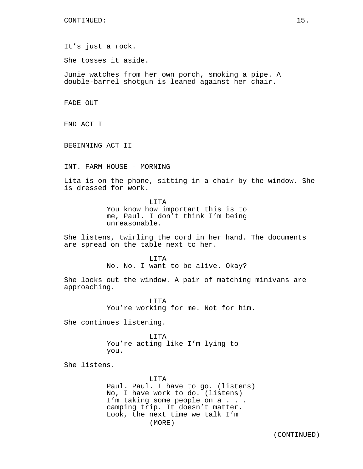It's just a rock.

She tosses it aside.

Junie watches from her own porch, smoking a pipe. A double-barrel shotgun is leaned against her chair.

FADE OUT

END ACT I

BEGINNING ACT II

INT. FARM HOUSE - MORNING

Lita is on the phone, sitting in a chair by the window. She is dressed for work.

> **LITA** You know how important this is to me, Paul. I don't think I'm being unreasonable.

She listens, twirling the cord in her hand. The documents are spread on the table next to her.

#### LITA

No. No. I want to be alive. Okay?

She looks out the window. A pair of matching minivans are approaching.

> LITA You're working for me. Not for him.

She continues listening.

LITA You're acting like I'm lying to you.

She listens.

LITA Paul. Paul. I have to go. (listens) No, I have work to do. (listens) I'm taking some people on a . . . camping trip. It doesn't matter. Look, the next time we talk I'm (MORE)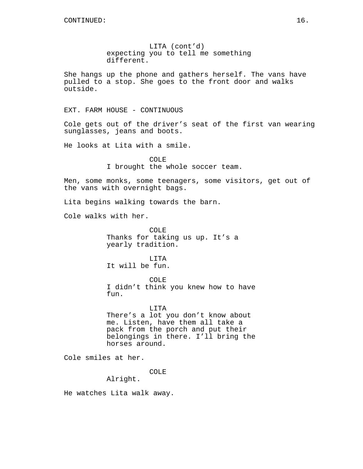LITA (cont'd) expecting you to tell me something different.

She hangs up the phone and gathers herself. The vans have pulled to a stop. She goes to the front door and walks outside.

EXT. FARM HOUSE - CONTINUOUS

Cole gets out of the driver's seat of the first van wearing sunglasses, jeans and boots.

He looks at Lita with a smile.

COLE I brought the whole soccer team.

Men, some monks, some teenagers, some visitors, get out of the vans with overnight bags.

Lita begins walking towards the barn.

Cole walks with her.

COLE Thanks for taking us up. It's a yearly tradition.

LITA It will be fun.

COLE I didn't think you knew how to have fun.

LITA There's a lot you don't know about me. Listen, have them all take a pack from the porch and put their belongings in there. I'll bring the horses around.

Cole smiles at her.

COLE

Alright.

He watches Lita walk away.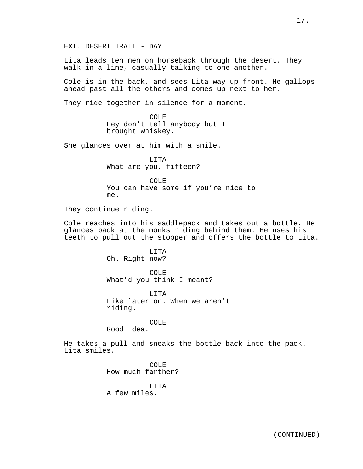EXT. DESERT TRAIL - DAY

Lita leads ten men on horseback through the desert. They walk in a line, casually talking to one another.

Cole is in the back, and sees Lita way up front. He gallops ahead past all the others and comes up next to her.

They ride together in silence for a moment.

COLE Hey don't tell anybody but I brought whiskey.

She glances over at him with a smile.

LITA What are you, fifteen?

COLE You can have some if you're nice to me.

They continue riding.

Cole reaches into his saddlepack and takes out a bottle. He glances back at the monks riding behind them. He uses his teeth to pull out the stopper and offers the bottle to Lita.

> LITA Oh. Right now?

COLE What'd you think I meant?

LITA Like later on. When we aren't riding.

COLE

Good idea.

He takes a pull and sneaks the bottle back into the pack. Lita smiles.

> COLE How much farther?

LITA A few miles.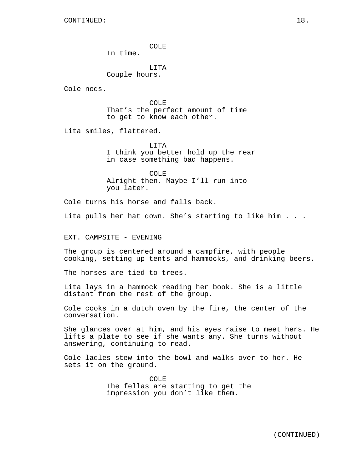COLE

In time.

LITA Couple hours.

Cole nods.

COLE That's the perfect amount of time to get to know each other.

Lita smiles, flattered.

LITA I think you better hold up the rear in case something bad happens.

COLE Alright then. Maybe I'll run into you later.

Cole turns his horse and falls back.

Lita pulls her hat down. She's starting to like him . . .

EXT. CAMPSITE - EVENING

The group is centered around a campfire, with people cooking, setting up tents and hammocks, and drinking beers.

The horses are tied to trees.

Lita lays in a hammock reading her book. She is a little distant from the rest of the group.

Cole cooks in a dutch oven by the fire, the center of the conversation.

She glances over at him, and his eyes raise to meet hers. He lifts a plate to see if she wants any. She turns without answering, continuing to read.

Cole ladles stew into the bowl and walks over to her. He sets it on the ground.

> COLE The fellas are starting to get the impression you don't like them.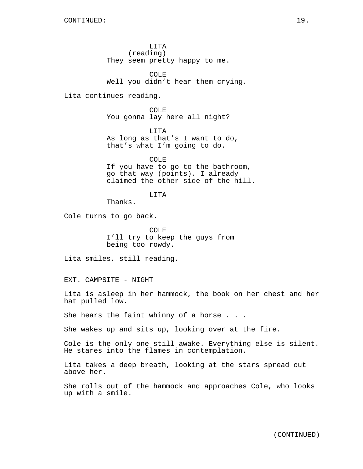LITA (reading) They seem pretty happy to me.

COLE Well you didn't hear them crying.

Lita continues reading.

COLE You gonna lay here all night?

LITA As long as that's I want to do, that's what I'm going to do.

COLE If you have to go to the bathroom, go that way (points). I already claimed the other side of the hill.

LITA

Thanks.

Cole turns to go back.

COLE I'll try to keep the guys from being too rowdy.

Lita smiles, still reading.

EXT. CAMPSITE - NIGHT

Lita is asleep in her hammock, the book on her chest and her hat pulled low.

She hears the faint whinny of a horse . . .

She wakes up and sits up, looking over at the fire.

Cole is the only one still awake. Everything else is silent. He stares into the flames in contemplation.

Lita takes a deep breath, looking at the stars spread out above her.

She rolls out of the hammock and approaches Cole, who looks up with a smile.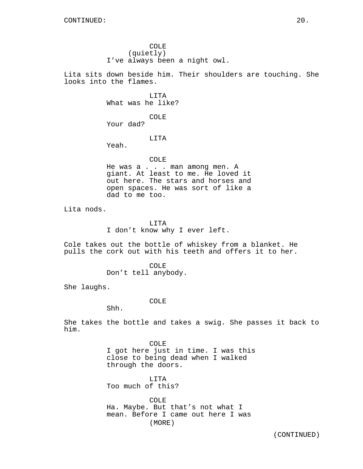COLE (quietly) I've always been a night owl.

Lita sits down beside him. Their shoulders are touching. She looks into the flames.

> LITA What was he like?

COLE Your dad?

LITA

Yeah.

# COLE

He was a . . . man among men. A giant. At least to me. He loved it out here. The stars and horses and open spaces. He was sort of like a dad to me too.

Lita nods.

LITA I don't know why I ever left.

Cole takes out the bottle of whiskey from a blanket. He pulls the cork out with his teeth and offers it to her.

> COLE Don't tell anybody.

She laughs.

### COLE

Shh.

She takes the bottle and takes a swig. She passes it back to him.

> COLE I got here just in time. I was this close to being dead when I walked through the doors.

LITA Too much of this?

COLE Ha. Maybe. But that's not what I mean. Before I came out here I was (MORE)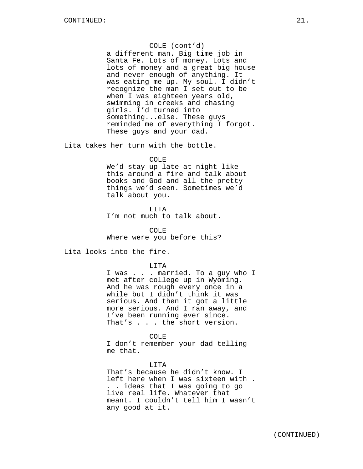# COLE (cont'd)

a different man. Big time job in Santa Fe. Lots of money. Lots and lots of money and a great big house and never enough of anything. It was eating me up. My soul. I didn't recognize the man I set out to be when I was eighteen years old, swimming in creeks and chasing girls. I'd turned into something...else. These guys reminded me of everything I forgot. These guys and your dad.

Lita takes her turn with the bottle.

### COLE

We'd stay up late at night like this around a fire and talk about books and God and all the pretty things we'd seen. Sometimes we'd talk about you.

LITA I'm not much to talk about.

COLE Where were you before this?

Lita looks into the fire.

LITA

I was . . . married. To a guy who I met after college up in Wyoming. And he was rough every once in a while but I didn't think it was serious. And then it got a little more serious. And I ran away, and I've been running ever since. That's . . . the short version.

COLE

I don't remember your dad telling me that.

LITA That's because he didn't know. I left here when I was sixteen with . . . ideas that I was going to go live real life. Whatever that meant. I couldn't tell him I wasn't any good at it.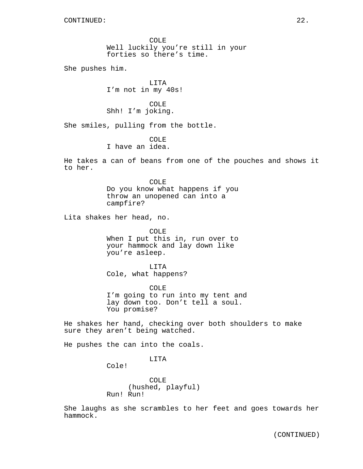COLE Well luckily you're still in your forties so there's time.

She pushes him.

LITA I'm not in my 40s!

COLE Shh! I'm joking.

She smiles, pulling from the bottle.

COLE

I have an idea.

He takes a can of beans from one of the pouches and shows it to her.

> COLE Do you know what happens if you throw an unopened can into a campfire?

Lita shakes her head, no.

COLE When I put this in, run over to your hammock and lay down like you're asleep.

LITA Cole, what happens?

COLE I'm going to run into my tent and lay down too. Don't tell a soul. You promise?

He shakes her hand, checking over both shoulders to make sure they aren't being watched.

He pushes the can into the coals.

# LITA

Cole!

COLE (hushed, playful) Run! Run!

She laughs as she scrambles to her feet and goes towards her hammock.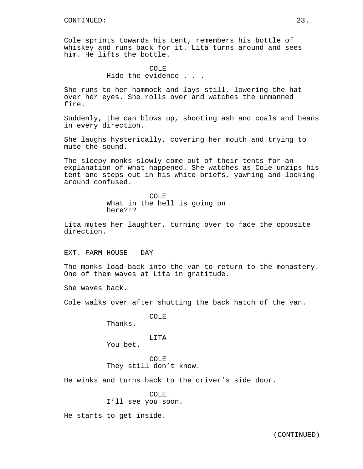Cole sprints towards his tent, remembers his bottle of whiskey and runs back for it. Lita turns around and sees him. He lifts the bottle.

> COLE Hide the evidence . . .

She runs to her hammock and lays still, lowering the hat over her eyes. She rolls over and watches the unmanned fire.

Suddenly, the can blows up, shooting ash and coals and beans in every direction.

She laughs hysterically, covering her mouth and trying to mute the sound.

The sleepy monks slowly come out of their tents for an explanation of what happened. She watches as Cole unzips his tent and steps out in his white briefs, yawning and looking around confused.

> COLE What in the hell is going on here?!?

Lita mutes her laughter, turning over to face the opposite direction.

EXT. FARM HOUSE - DAY

The monks load back into the van to return to the monastery. One of them waves at Lita in gratitude.

She waves back.

Cole walks over after shutting the back hatch of the van.

COLE

Thanks.

LITA

You bet.

COLE They still don't know.

He winks and turns back to the driver's side door.

# COLE

I'll see you soon.

He starts to get inside.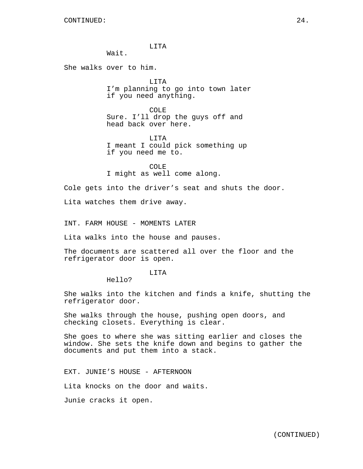LITA

Wait.

She walks over to him.

LITA I'm planning to go into town later if you need anything.

COLE Sure. I'll drop the guys off and head back over here.

LITA I meant I could pick something up if you need me to.

COLE I might as well come along.

Cole gets into the driver's seat and shuts the door.

Lita watches them drive away.

INT. FARM HOUSE - MOMENTS LATER

Lita walks into the house and pauses.

The documents are scattered all over the floor and the refrigerator door is open.

LITA

Hello?

She walks into the kitchen and finds a knife, shutting the refrigerator door.

She walks through the house, pushing open doors, and checking closets. Everything is clear.

She goes to where she was sitting earlier and closes the window. She sets the knife down and begins to gather the documents and put them into a stack.

EXT. JUNIE'S HOUSE - AFTERNOON

Lita knocks on the door and waits.

Junie cracks it open.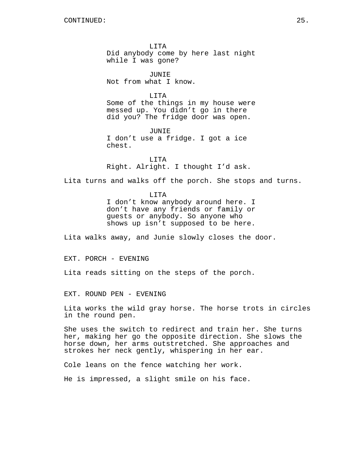LITA Did anybody come by here last night while I was gone?

JUNIE Not from what I know.

LITA Some of the things in my house were messed up. You didn't go in there did you? The fridge door was open.

JUNIE I don't use a fridge. I got a ice chest.

LITA Right. Alright. I thought I'd ask.

Lita turns and walks off the porch. She stops and turns.

LITA I don't know anybody around here. I don't have any friends or family or guests or anybody. So anyone who shows up isn't supposed to be here.

Lita walks away, and Junie slowly closes the door.

EXT. PORCH - EVENING

Lita reads sitting on the steps of the porch.

EXT. ROUND PEN - EVENING

Lita works the wild gray horse. The horse trots in circles in the round pen.

She uses the switch to redirect and train her. She turns her, making her go the opposite direction. She slows the horse down, her arms outstretched. She approaches and strokes her neck gently, whispering in her ear.

Cole leans on the fence watching her work.

He is impressed, a slight smile on his face.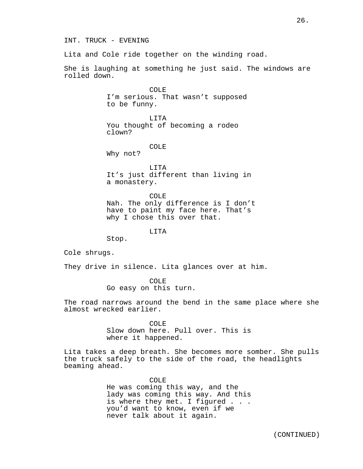INT. TRUCK - EVENING

Lita and Cole ride together on the winding road.

She is laughing at something he just said. The windows are rolled down.

> COLE I'm serious. That wasn't supposed to be funny.

LITA You thought of becoming a rodeo clown?

COLE

Why not?

LITA It's just different than living in a monastery.

COLE Nah. The only difference is I don't have to paint my face here. That's why I chose this over that.

LITA

Stop.

Cole shrugs.

They drive in silence. Lita glances over at him.

COLE Go easy on this turn.

The road narrows around the bend in the same place where she almost wrecked earlier.

> COLE Slow down here. Pull over. This is where it happened.

Lita takes a deep breath. She becomes more somber. She pulls the truck safely to the side of the road, the headlights beaming ahead.

> COLE He was coming this way, and the lady was coming this way. And this is where they met. I figured . . . you'd want to know, even if we never talk about it again.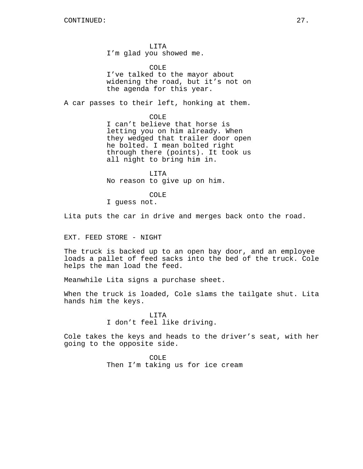LITA I'm glad you showed me.

COLE I've talked to the mayor about widening the road, but it's not on the agenda for this year.

A car passes to their left, honking at them.

COLE

I can't believe that horse is letting you on him already. When they wedged that trailer door open he bolted. I mean bolted right through there (points). It took us all night to bring him in.

LITA No reason to give up on him.

COLE

I guess not.

Lita puts the car in drive and merges back onto the road.

EXT. FEED STORE - NIGHT

The truck is backed up to an open bay door, and an employee loads a pallet of feed sacks into the bed of the truck. Cole helps the man load the feed.

Meanwhile Lita signs a purchase sheet.

When the truck is loaded, Cole slams the tailgate shut. Lita hands him the keys.

> LITA I don't feel like driving.

Cole takes the keys and heads to the driver's seat, with her going to the opposite side.

> COLE Then I'm taking us for ice cream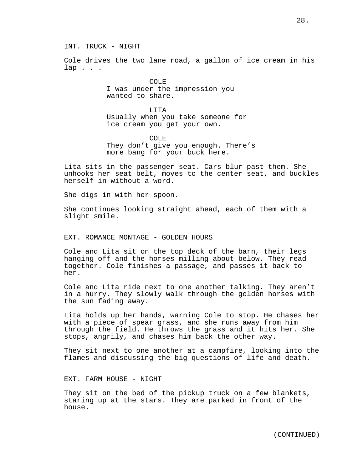INT. TRUCK - NIGHT

Cole drives the two lane road, a gallon of ice cream in his lap . . .

> COLE I was under the impression you wanted to share.

LITA Usually when you take someone for ice cream you get your own.

COLE They don't give you enough. There's more bang for your buck here.

Lita sits in the passenger seat. Cars blur past them. She unhooks her seat belt, moves to the center seat, and buckles herself in without a word.

She digs in with her spoon.

She continues looking straight ahead, each of them with a slight smile.

# EXT. ROMANCE MONTAGE - GOLDEN HOURS

Cole and Lita sit on the top deck of the barn, their legs hanging off and the horses milling about below. They read together. Cole finishes a passage, and passes it back to her.

Cole and Lita ride next to one another talking. They aren't in a hurry. They slowly walk through the golden horses with the sun fading away.

Lita holds up her hands, warning Cole to stop. He chases her with a piece of spear grass, and she runs away from him through the field. He throws the grass and it hits her. She stops, angrily, and chases him back the other way.

They sit next to one another at a campfire, looking into the flames and discussing the big questions of life and death.

EXT. FARM HOUSE - NIGHT

They sit on the bed of the pickup truck on a few blankets, staring up at the stars. They are parked in front of the house.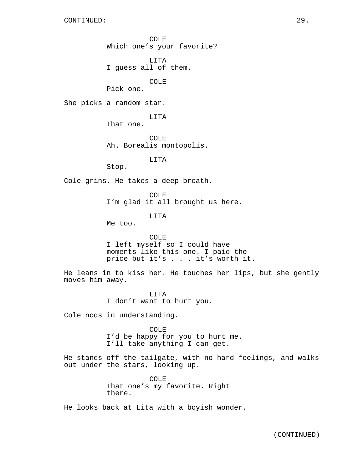COLE Which one's your favorite?

LITA I guess all of them.

COLE

Pick one.

She picks a random star.

LITA

That one.

COLE Ah. Borealis montopolis.

LITA

Stop.

Cole grins. He takes a deep breath.

COLE I'm glad it all brought us here.

LITA

Me too.

COLE I left myself so I could have moments like this one. I paid the price but it's . . . it's worth it.

He leans in to kiss her. He touches her lips, but she gently moves him away.

> LITA I don't want to hurt you.

Cole nods in understanding.

COLE I'd be happy for you to hurt me. I'll take anything I can get.

He stands off the tailgate, with no hard feelings, and walks out under the stars, looking up.

> COLE That one's my favorite. Right there.

He looks back at Lita with a boyish wonder.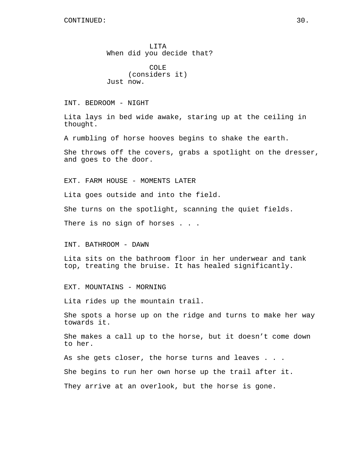LITA When did you decide that?

COLE (considers it) Just now.

INT. BEDROOM - NIGHT

Lita lays in bed wide awake, staring up at the ceiling in thought.

A rumbling of horse hooves begins to shake the earth.

She throws off the covers, grabs a spotlight on the dresser, and goes to the door.

EXT. FARM HOUSE - MOMENTS LATER

Lita goes outside and into the field.

She turns on the spotlight, scanning the quiet fields.

There is no sign of horses . . .

INT. BATHROOM - DAWN

Lita sits on the bathroom floor in her underwear and tank top, treating the bruise. It has healed significantly.

EXT. MOUNTAINS - MORNING

Lita rides up the mountain trail.

She spots a horse up on the ridge and turns to make her way towards it.

She makes a call up to the horse, but it doesn't come down to her.

As she gets closer, the horse turns and leaves . . .

She begins to run her own horse up the trail after it.

They arrive at an overlook, but the horse is gone.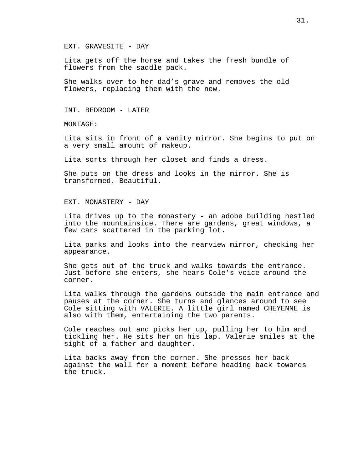EXT. GRAVESITE - DAY

Lita gets off the horse and takes the fresh bundle of flowers from the saddle pack.

She walks over to her dad's grave and removes the old flowers, replacing them with the new.

INT. BEDROOM - LATER

MONTAGE:

Lita sits in front of a vanity mirror. She begins to put on a very small amount of makeup.

Lita sorts through her closet and finds a dress.

She puts on the dress and looks in the mirror. She is transformed. Beautiful.

EXT. MONASTERY - DAY

Lita drives up to the monastery - an adobe building nestled into the mountainside. There are gardens, great windows, a few cars scattered in the parking lot.

Lita parks and looks into the rearview mirror, checking her appearance.

She gets out of the truck and walks towards the entrance. Just before she enters, she hears Cole's voice around the corner.

Lita walks through the gardens outside the main entrance and pauses at the corner. She turns and glances around to see Cole sitting with VALERIE. A little girl named CHEYENNE is also with them, entertaining the two parents.

Cole reaches out and picks her up, pulling her to him and tickling her. He sits her on his lap. Valerie smiles at the sight of a father and daughter.

Lita backs away from the corner. She presses her back against the wall for a moment before heading back towards the truck.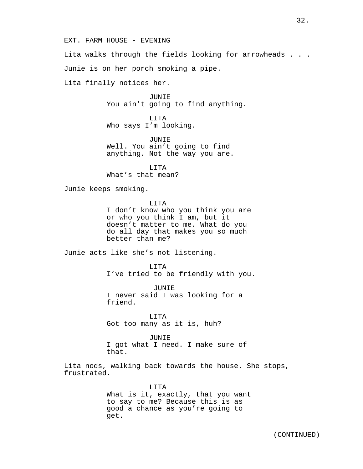EXT. FARM HOUSE - EVENING

Lita walks through the fields looking for arrowheads . . .

Junie is on her porch smoking a pipe.

Lita finally notices her.

JUNIE You ain't going to find anything.

LITA Who says I'm looking.

JUNIE Well. You ain't going to find anything. Not the way you are.

LITA What's that mean?

Junie keeps smoking.

LITA

I don't know who you think you are or who you think I am, but it doesn't matter to me. What do you do all day that makes you so much better than me?

Junie acts like she's not listening.

LITA I've tried to be friendly with you.

JUNIE I never said I was looking for a friend.

LITA Got too many as it is, huh?

JUNIE I got what I need. I make sure of that.

Lita nods, walking back towards the house. She stops, frustrated.

> LITA What is it, exactly, that you want to say to me? Because this is as good a chance as you're going to get.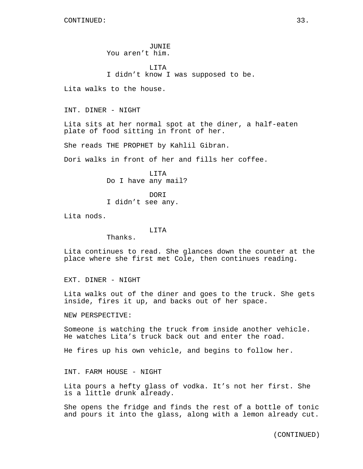JUNIE You aren't him.

LITA I didn't know I was supposed to be.

Lita walks to the house.

INT. DINER - NIGHT

Lita sits at her normal spot at the diner, a half-eaten plate of food sitting in front of her.

She reads THE PROPHET by Kahlil Gibran.

Dori walks in front of her and fills her coffee.

LITA Do I have any mail?

DORI I didn't see any.

Lita nods.

### LITA

Thanks.

Lita continues to read. She glances down the counter at the place where she first met Cole, then continues reading.

EXT. DINER - NIGHT

Lita walks out of the diner and goes to the truck. She gets inside, fires it up, and backs out of her space.

NEW PERSPECTIVE:

Someone is watching the truck from inside another vehicle. He watches Lita's truck back out and enter the road.

He fires up his own vehicle, and begins to follow her.

INT. FARM HOUSE - NIGHT

Lita pours a hefty glass of vodka. It's not her first. She is a little drunk already.

She opens the fridge and finds the rest of a bottle of tonic and pours it into the glass, along with a lemon already cut.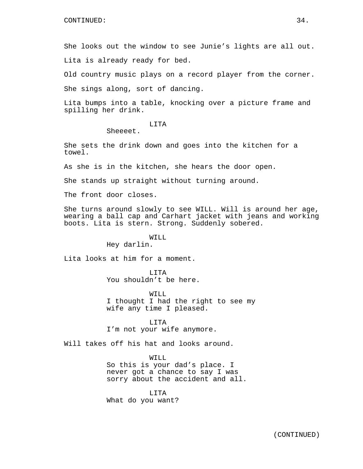She looks out the window to see Junie's lights are all out.

Lita is already ready for bed.

Old country music plays on a record player from the corner.

She sings along, sort of dancing.

Lita bumps into a table, knocking over a picture frame and spilling her drink.

# LITA

Sheeeet.

She sets the drink down and goes into the kitchen for a towel.

As she is in the kitchen, she hears the door open.

She stands up straight without turning around.

The front door closes.

She turns around slowly to see WILL. Will is around her age, wearing a ball cap and Carhart jacket with jeans and working boots. Lita is stern. Strong. Suddenly sobered.

# WILL

Hey darlin.

Lita looks at him for a moment.

LITA You shouldn't be here.

WILL I thought I had the right to see my wife any time I pleased.

LITA I'm not your wife anymore.

Will takes off his hat and looks around.

### WILL

So this is your dad's place. I never got a chance to say I was sorry about the accident and all.

LITA What do you want?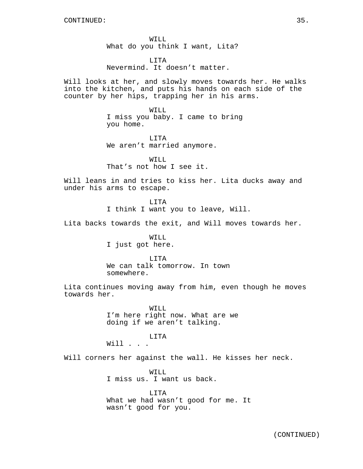WILL What do you think I want, Lita?

LITA Nevermind. It doesn't matter.

Will looks at her, and slowly moves towards her. He walks into the kitchen, and puts his hands on each side of the counter by her hips, trapping her in his arms.

> WILL I miss you baby. I came to bring you home.

LITA We aren't married anymore.

WILL That's not how I see it.

Will leans in and tries to kiss her. Lita ducks away and under his arms to escape.

> LITA I think I want you to leave, Will.

Lita backs towards the exit, and Will moves towards her.

WILL I just got here.

LITA We can talk tomorrow. In town somewhere.

Lita continues moving away from him, even though he moves towards her.

> WILL. I'm here right now. What are we doing if we aren't talking.

LITA Will . . .

Will corners her against the wall. He kisses her neck.

WILL I miss us. I want us back.

LITA What we had wasn't good for me. It wasn't good for you.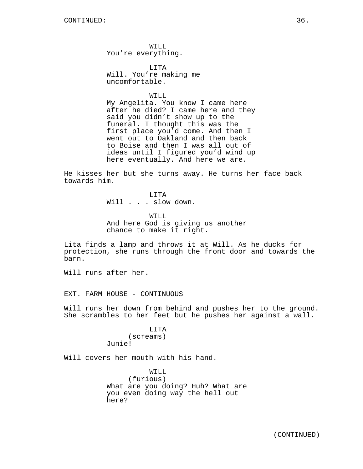WILL You're everything.

LITA Will. You're making me uncomfortable.

WILL.

My Angelita. You know I came here after he died? I came here and they said you didn't show up to the funeral. I thought this was the first place you'd come. And then I went out to Oakland and then back to Boise and then I was all out of ideas until I figured you'd wind up here eventually. And here we are.

He kisses her but she turns away. He turns her face back towards him.

> LITA Will . . . slow down.

WILL. And here God is giving us another chance to make it right.

Lita finds a lamp and throws it at Will. As he ducks for protection, she runs through the front door and towards the barn.

Will runs after her.

EXT. FARM HOUSE - CONTINUOUS

Will runs her down from behind and pushes her to the ground. She scrambles to her feet but he pushes her against a wall.

> LITA (screams) Junie!

Will covers her mouth with his hand.

WILL (furious) What are you doing? Huh? What are you even doing way the hell out here?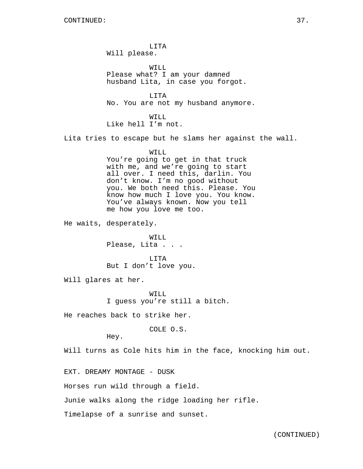LITA Will please.

WILL Please what? I am your damned husband Lita, in case you forgot.

LITA No. You are not my husband anymore.

WILL Like hell I'm not.

Lita tries to escape but he slams her against the wall.

# WILL

You're going to get in that truck with me, and we're going to start all over. I need this, darlin. You don't know. I'm no good without you. We both need this. Please. You know how much I love you. You know. You've always known. Now you tell me how you love me too.

He waits, desperately.

WILL Please, Lita . . .

LITA But I don't love you.

Will glares at her.

WILL I guess you're still a bitch.

He reaches back to strike her.

COLE O.S.

Hey.

Will turns as Cole hits him in the face, knocking him out.

EXT. DREAMY MONTAGE - DUSK

Horses run wild through a field.

Junie walks along the ridge loading her rifle.

Timelapse of a sunrise and sunset.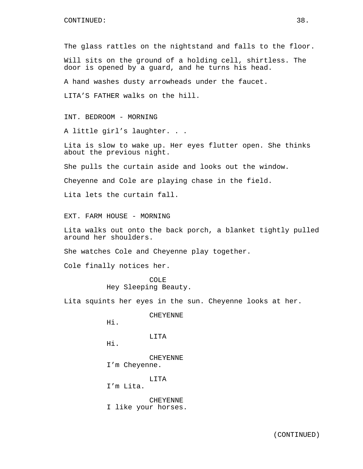The glass rattles on the nightstand and falls to the floor.

Will sits on the ground of a holding cell, shirtless. The door is opened by a guard, and he turns his head.

A hand washes dusty arrowheads under the faucet.

LITA'S FATHER walks on the hill.

INT. BEDROOM - MORNING

A little girl's laughter. . .

Lita is slow to wake up. Her eyes flutter open. She thinks about the previous night.

She pulls the curtain aside and looks out the window.

Cheyenne and Cole are playing chase in the field.

Lita lets the curtain fall.

EXT. FARM HOUSE - MORNING

Lita walks out onto the back porch, a blanket tightly pulled around her shoulders.

She watches Cole and Cheyenne play together.

Cole finally notices her.

COLE Hey Sleeping Beauty.

Lita squints her eyes in the sun. Cheyenne looks at her.

CHEYENNE

Hi.

**LITA** 

Hi.

CHEYENNE I'm Cheyenne.

LITA

I'm Lita.

CHEYENNE I like your horses.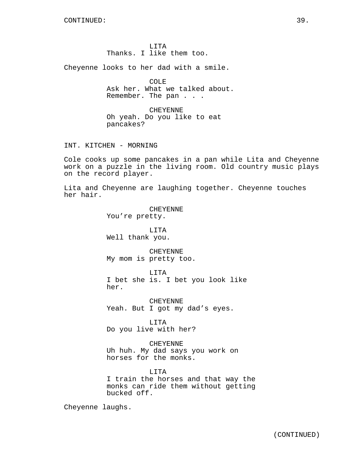LITA Thanks. I like them too.

Cheyenne looks to her dad with a smile.

COLE Ask her. What we talked about. Remember. The pan . . .

CHEYENNE Oh yeah. Do you like to eat pancakes?

INT. KITCHEN - MORNING

Cole cooks up some pancakes in a pan while Lita and Cheyenne work on a puzzle in the living room. Old country music plays on the record player.

Lita and Cheyenne are laughing together. Cheyenne touches her hair.

> CHEYENNE You're pretty. LITA Well thank you.

CHEYENNE My mom is pretty too.

LITA I bet she is. I bet you look like her.

CHEYENNE Yeah. But I got my dad's eyes.

LITA Do you live with her?

CHEYENNE Uh huh. My dad says you work on horses for the monks.

LITA I train the horses and that way the monks can ride them without getting bucked off.

Cheyenne laughs.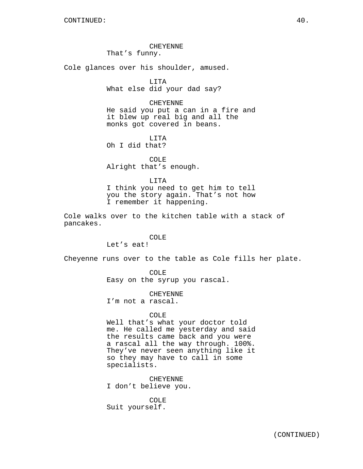CHEYENNE That's funny.

Cole glances over his shoulder, amused.

LITA What else did your dad say?

CHEYENNE He said you put a can in a fire and it blew up real big and all the monks got covered in beans.

LITA Oh I did that?

COLE Alright that's enough.

LITA I think you need to get him to tell you the story again. That's not how I remember it happening.

Cole walks over to the kitchen table with a stack of pancakes.

# COLE

Let's eat!

Cheyenne runs over to the table as Cole fills her plate.

COLE Easy on the syrup you rascal.

CHEYENNE I'm not a rascal.

### COLE

Well that's what your doctor told me. He called me yesterday and said the results came back and you were a rascal all the way through. 100%. They've never seen anything like it so they may have to call in some specialists.

CHEYENNE I don't believe you.

COLE Suit yourself.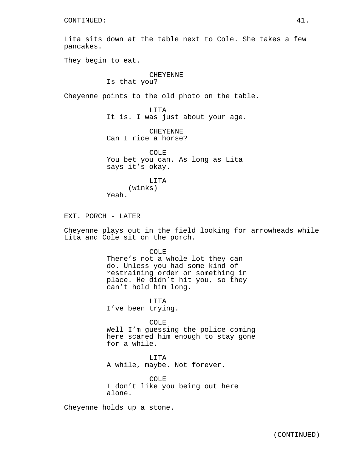Lita sits down at the table next to Cole. She takes a few pancakes.

They begin to eat.

# CHEYENNE

Is that you?

Cheyenne points to the old photo on the table.

LITA It is. I was just about your age.

CHEYENNE Can I ride a horse?

COLE You bet you can. As long as Lita says it's okay.

LITA (winks) Yeah.

EXT. PORCH - LATER

Cheyenne plays out in the field looking for arrowheads while Lita and Cole sit on the porch.

COLE

There's not a whole lot they can do. Unless you had some kind of restraining order or something in place. He didn't hit you, so they can't hold him long.

LITA I've been trying.

COLE

Well I'm guessing the police coming here scared him enough to stay gone for a while.

LITA A while, maybe. Not forever.

COLE I don't like you being out here alone.

Cheyenne holds up a stone.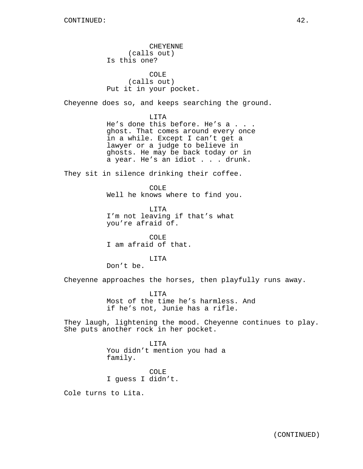CHEYENNE (calls out) Is this one? COLE (calls out) Put it in your pocket. Cheyenne does so, and keeps searching the ground. LITA He's done this before. He's a . . . ghost. That comes around every once in a while. Except I can't get a lawyer or a judge to believe in ghosts. He may be back today or in a year. He's an idiot . . . drunk. They sit in silence drinking their coffee. COLE Well he knows where to find you. LITA I'm not leaving if that's what you're afraid of. COLE I am afraid of that. LITA Don't be. Cheyenne approaches the horses, then playfully runs away. LITA Most of the time he's harmless. And if he's not, Junie has a rifle. They laugh, lightening the mood. Cheyenne continues to play. She puts another rock in her pocket. LITA You didn't mention you had a family. COLE I guess I didn't.

Cole turns to Lita.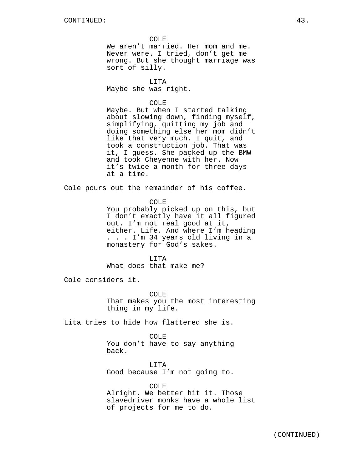COLE

We aren't married. Her mom and me. Never were. I tried, don't get me wrong. But she thought marriage was sort of silly.

LITA Maybe she was right.

COLE

Maybe. But when I started talking about slowing down, finding myself, simplifying, quitting my job and doing something else her mom didn't like that very much. I quit, and took a construction job. That was it, I guess. She packed up the BMW and took Cheyenne with her. Now it's twice a month for three days at a time.

Cole pours out the remainder of his coffee.

COLE

You probably picked up on this, but I don't exactly have it all figured out. I'm not real good at it, either. Life. And where I'm heading . . . I'm 34 years old living in a monastery for God's sakes.

LITA What does that make me?

Cole considers it.

COLE That makes you the most interesting thing in my life.

Lita tries to hide how flattered she is.

COLE

You don't have to say anything back.

LITA Good because I'm not going to.

COLE Alright. We better hit it. Those slavedriver monks have a whole list of projects for me to do.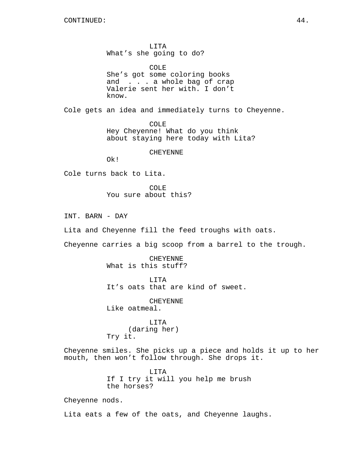LITA What's she going to do?

COLE She's got some coloring books and . . . a whole bag of crap Valerie sent her with. I don't know.

Cole gets an idea and immediately turns to Cheyenne.

COLE Hey Cheyenne! What do you think about staying here today with Lita?

CHEYENNE

Ok!

Cole turns back to Lita.

COLE. You sure about this?

INT. BARN - DAY

Lita and Cheyenne fill the feed troughs with oats.

Cheyenne carries a big scoop from a barrel to the trough.

CHEYENNE What is this stuff?

LITA It's oats that are kind of sweet.

CHEYENNE

Like oatmeal.

LITA (daring her) Try it.

Cheyenne smiles. She picks up a piece and holds it up to her mouth, then won't follow through. She drops it.

> LITA If I try it will you help me brush the horses?

Cheyenne nods.

Lita eats a few of the oats, and Cheyenne laughs.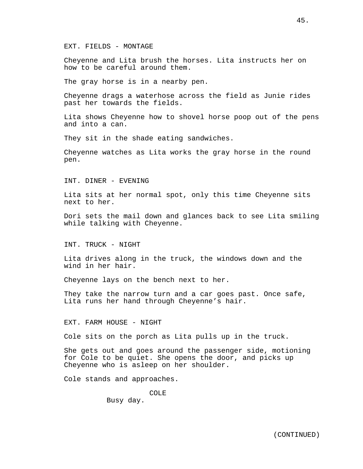EXT. FIELDS - MONTAGE

Cheyenne and Lita brush the horses. Lita instructs her on how to be careful around them.

The gray horse is in a nearby pen.

Cheyenne drags a waterhose across the field as Junie rides past her towards the fields.

Lita shows Cheyenne how to shovel horse poop out of the pens and into a can.

They sit in the shade eating sandwiches.

Cheyenne watches as Lita works the gray horse in the round pen.

INT. DINER - EVENING

Lita sits at her normal spot, only this time Cheyenne sits next to her.

Dori sets the mail down and glances back to see Lita smiling while talking with Cheyenne.

INT. TRUCK - NIGHT

Lita drives along in the truck, the windows down and the wind in her hair.

Cheyenne lays on the bench next to her.

They take the narrow turn and a car goes past. Once safe, Lita runs her hand through Cheyenne's hair.

EXT. FARM HOUSE - NIGHT

Cole sits on the porch as Lita pulls up in the truck.

She gets out and goes around the passenger side, motioning for Cole to be quiet. She opens the door, and picks up Cheyenne who is asleep on her shoulder.

Cole stands and approaches.

COLE

Busy day.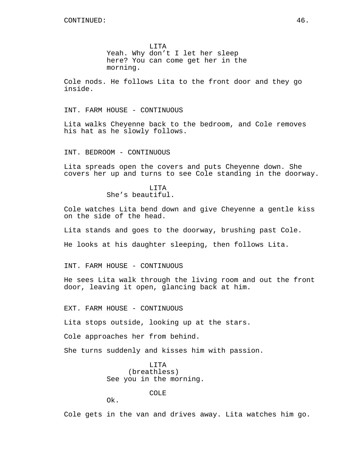LITA Yeah. Why don't I let her sleep here? You can come get her in the morning.

Cole nods. He follows Lita to the front door and they go inside.

INT. FARM HOUSE - CONTINUOUS

Lita walks Cheyenne back to the bedroom, and Cole removes his hat as he slowly follows.

INT. BEDROOM - CONTINUOUS

Lita spreads open the covers and puts Cheyenne down. She covers her up and turns to see Cole standing in the doorway.

> **T.TTA** She's beautiful.

Cole watches Lita bend down and give Cheyenne a gentle kiss on the side of the head.

Lita stands and goes to the doorway, brushing past Cole.

He looks at his daughter sleeping, then follows Lita.

INT. FARM HOUSE - CONTINUOUS

He sees Lita walk through the living room and out the front door, leaving it open, glancing back at him.

EXT. FARM HOUSE - CONTINUOUS

Lita stops outside, looking up at the stars.

Cole approaches her from behind.

She turns suddenly and kisses him with passion.

LITA (breathless) See you in the morning.

COLE

Ok.

Cole gets in the van and drives away. Lita watches him go.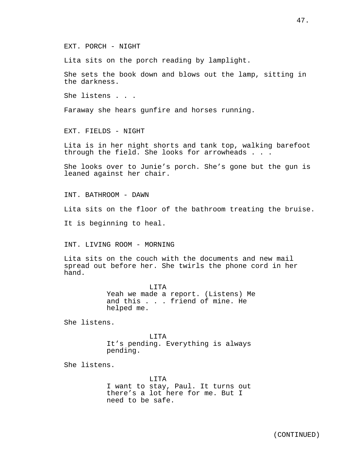EXT. PORCH - NIGHT

Lita sits on the porch reading by lamplight.

She sets the book down and blows out the lamp, sitting in the darkness.

She listens . . .

Faraway she hears gunfire and horses running.

EXT. FIELDS - NIGHT

Lita is in her night shorts and tank top, walking barefoot through the field. She looks for arrowheads . . .

She looks over to Junie's porch. She's gone but the gun is leaned against her chair.

INT. BATHROOM - DAWN

Lita sits on the floor of the bathroom treating the bruise.

It is beginning to heal.

INT. LIVING ROOM - MORNING

Lita sits on the couch with the documents and new mail spread out before her. She twirls the phone cord in her hand.

> LITA Yeah we made a report. (Listens) Me and this . . . friend of mine. He helped me.

She listens.

LITA It's pending. Everything is always pending.

She listens.

LITA I want to stay, Paul. It turns out there's a lot here for me. But I need to be safe.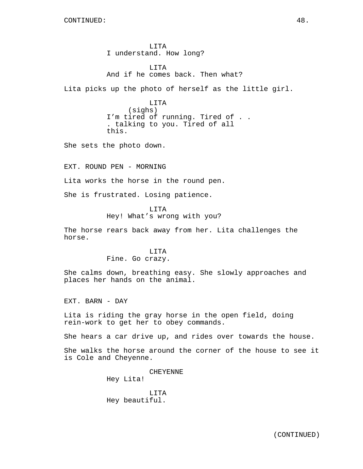LITA I understand. How long?

LITA And if he comes back. Then what?

Lita picks up the photo of herself as the little girl.

LITA (sighs) I'm tired of running. Tired of . . . talking to you. Tired of all this.

She sets the photo down.

EXT. ROUND PEN - MORNING

Lita works the horse in the round pen.

She is frustrated. Losing patience.

LITA Hey! What's wrong with you?

The horse rears back away from her. Lita challenges the horse.

# LITA

Fine. Go crazy.

She calms down, breathing easy. She slowly approaches and places her hands on the animal.

EXT. BARN - DAY

Lita is riding the gray horse in the open field, doing rein-work to get her to obey commands.

She hears a car drive up, and rides over towards the house.

She walks the horse around the corner of the house to see it is Cole and Cheyenne.

> CHEYENNE Hey Lita!

LITA Hey beautiful.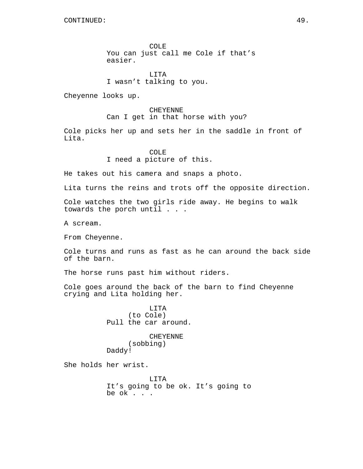COLE You can just call me Cole if that's easier.

LITA I wasn't talking to you.

Cheyenne looks up.

CHEYENNE Can I get in that horse with you?

Cole picks her up and sets her in the saddle in front of Lita.

### COLE

I need a picture of this.

He takes out his camera and snaps a photo.

Lita turns the reins and trots off the opposite direction.

Cole watches the two girls ride away. He begins to walk towards the porch until . . .

A scream.

From Cheyenne.

Cole turns and runs as fast as he can around the back side of the barn.

The horse runs past him without riders.

Cole goes around the back of the barn to find Cheyenne crying and Lita holding her.

> LITA (to Cole) Pull the car around.

CHEYENNE (sobbing) Daddy!

She holds her wrist.

LITA It's going to be ok. It's going to be ok . . .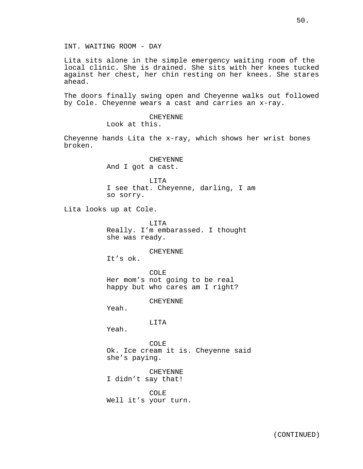INT. WAITING ROOM - DAY

Lita sits alone in the simple emergency waiting room of the local clinic. She is drained. She sits with her knees tucked against her chest, her chin resting on her knees. She stares ahead.

The doors finally swing open and Cheyenne walks out followed by Cole. Cheyenne wears a cast and carries an x-ray.

> CHEYENNE Look at this.

Cheyenne hands Lita the x-ray, which shows her wrist bones broken.

> CHEYENNE And I got a cast.

LITA I see that. Cheyenne, darling, I am so sorry.

Lita looks up at Cole.

LITA Really. I'm embarassed. I thought she was ready.

### CHEYENNE

It's ok.

COLE Her mom's not going to be real happy but who cares am I right?

CHEYENNE

Yeah.

LITA

Yeah.

COLE Ok. Ice cream it is. Cheyenne said she's paying.

CHEYENNE I didn't say that!

COLE Well it's your turn.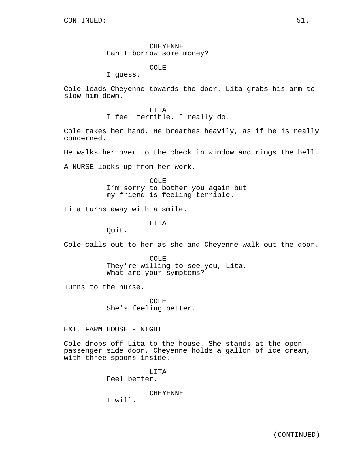CHEYENNE Can I borrow some money?

COLE

I guess.

Cole leads Cheyenne towards the door. Lita grabs his arm to slow him down.

> LITA I feel terrible. I really do.

Cole takes her hand. He breathes heavily, as if he is really concerned.

He walks her over to the check in window and rings the bell.

A NURSE looks up from her work.

COLE I'm sorry to bother you again but my friend is feeling terrible.

Lita turns away with a smile.

LITA

Quit.

Cole calls out to her as she and Cheyenne walk out the door.

COLE They're willing to see you, Lita. What are your symptoms?

Turns to the nurse.

COLE She's feeling better.

EXT. FARM HOUSE - NIGHT

Cole drops off Lita to the house. She stands at the open passenger side door. Cheyenne holds a gallon of ice cream, with three spoons inside.

> LITA Feel better.

> > CHEYENNE

I will.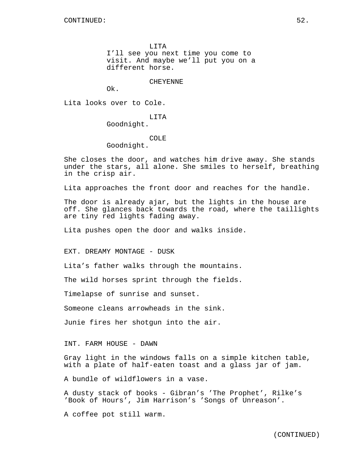LITA

I'll see you next time you come to visit. And maybe we'll put you on a different horse.

CHEYENNE

Ok.

Lita looks over to Cole.

LITA Goodnight.

# COLE

Goodnight.

She closes the door, and watches him drive away. She stands under the stars, all alone. She smiles to herself, breathing in the crisp air.

Lita approaches the front door and reaches for the handle.

The door is already ajar, but the lights in the house are off. She glances back towards the road, where the taillights are tiny red lights fading away.

Lita pushes open the door and walks inside.

EXT. DREAMY MONTAGE - DUSK

Lita's father walks through the mountains.

The wild horses sprint through the fields.

Timelapse of sunrise and sunset.

Someone cleans arrowheads in the sink.

Junie fires her shotgun into the air.

INT. FARM HOUSE - DAWN

Gray light in the windows falls on a simple kitchen table, with a plate of half-eaten toast and a glass jar of jam.

A bundle of wildflowers in a vase.

A dusty stack of books - Gibran's 'The Prophet', Rilke's 'Book of Hours', Jim Harrison's 'Songs of Unreason'.

A coffee pot still warm.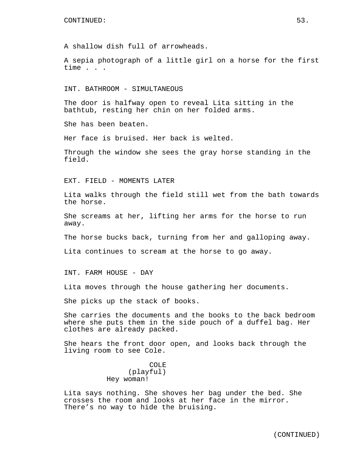A shallow dish full of arrowheads.

A sepia photograph of a little girl on a horse for the first time . . .

INT. BATHROOM - SIMULTANEOUS

The door is halfway open to reveal Lita sitting in the bathtub, resting her chin on her folded arms.

She has been beaten.

Her face is bruised. Her back is welted.

Through the window she sees the gray horse standing in the field.

EXT. FIELD - MOMENTS LATER

Lita walks through the field still wet from the bath towards the horse.

She screams at her, lifting her arms for the horse to run away.

The horse bucks back, turning from her and galloping away.

Lita continues to scream at the horse to go away.

INT. FARM HOUSE - DAY

Lita moves through the house gathering her documents.

She picks up the stack of books.

She carries the documents and the books to the back bedroom where she puts them in the side pouch of a duffel bag. Her clothes are already packed.

She hears the front door open, and looks back through the living room to see Cole.

> COLE (playful) Hey woman!

Lita says nothing. She shoves her bag under the bed. She crosses the room and looks at her face in the mirror. There's no way to hide the bruising.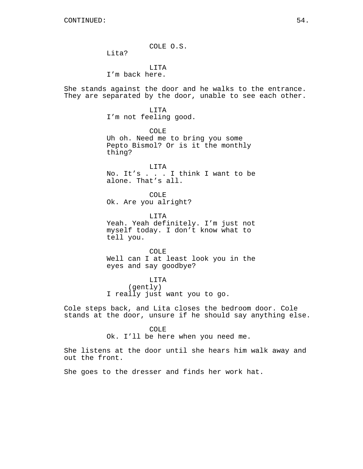COLE O.S.

Lita?

LITA I'm back here.

She stands against the door and he walks to the entrance. They are separated by the door, unable to see each other.

> LITA I'm not feeling good.

COLE Uh oh. Need me to bring you some Pepto Bismol? Or is it the monthly thing?

LITA No. It's . . . I think I want to be alone. That's all.

COLE Ok. Are you alright?

LITA Yeah. Yeah definitely. I'm just not myself today. I don't know what to tell you.

COLE Well can I at least look you in the eyes and say goodbye?

LITA (gently) I really just want you to go.

Cole steps back, and Lita closes the bedroom door. Cole stands at the door, unsure if he should say anything else.

COLE

Ok. I'll be here when you need me.

She listens at the door until she hears him walk away and out the front.

She goes to the dresser and finds her work hat.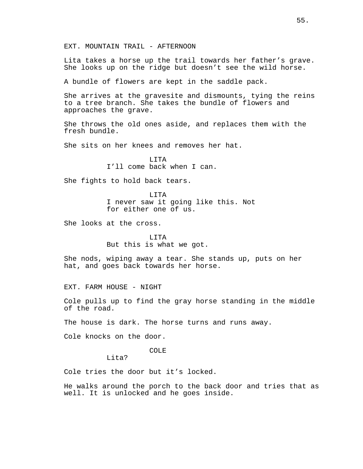Lita takes a horse up the trail towards her father's grave. She looks up on the ridge but doesn't see the wild horse.

A bundle of flowers are kept in the saddle pack.

She arrives at the gravesite and dismounts, tying the reins to a tree branch. She takes the bundle of flowers and approaches the grave.

She throws the old ones aside, and replaces them with the fresh bundle.

She sits on her knees and removes her hat.

LITA I'll come back when I can.

She fights to hold back tears.

LITA I never saw it going like this. Not for either one of us.

She looks at the cross.

LITA But this is what we got.

She nods, wiping away a tear. She stands up, puts on her hat, and goes back towards her horse.

EXT. FARM HOUSE - NIGHT

Cole pulls up to find the gray horse standing in the middle of the road.

The house is dark. The horse turns and runs away.

Cole knocks on the door.

COLE

Lita?

Cole tries the door but it's locked.

He walks around the porch to the back door and tries that as well. It is unlocked and he goes inside.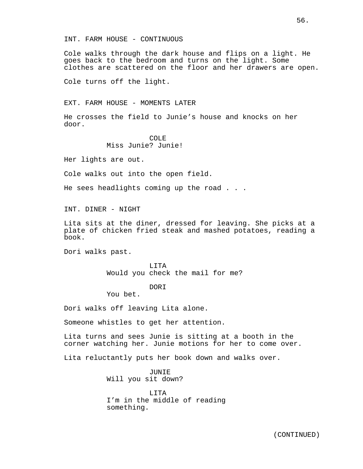Cole walks through the dark house and flips on a light. He goes back to the bedroom and turns on the light. Some clothes are scattered on the floor and her drawers are open.

Cole turns off the light.

EXT. FARM HOUSE - MOMENTS LATER

He crosses the field to Junie's house and knocks on her door.

> COLE Miss Junie? Junie!

Her lights are out.

Cole walks out into the open field.

He sees headlights coming up the road . . .

INT. DINER - NIGHT

Lita sits at the diner, dressed for leaving. She picks at a plate of chicken fried steak and mashed potatoes, reading a book.

Dori walks past.

LITA Would you check the mail for me?

DORI

You bet.

Dori walks off leaving Lita alone.

Someone whistles to get her attention.

Lita turns and sees Junie is sitting at a booth in the corner watching her. Junie motions for her to come over.

Lita reluctantly puts her book down and walks over.

JUNIE Will you sit down?

LITA I'm in the middle of reading something.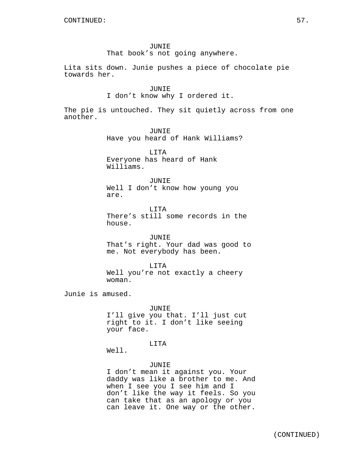# JUNIE

That book's not going anywhere.

Lita sits down. Junie pushes a piece of chocolate pie towards her.

#### JUNIE

I don't know why I ordered it.

The pie is untouched. They sit quietly across from one another.

> JUNIE Have you heard of Hank Williams?

LITA Everyone has heard of Hank Williams.

### JUNIE

Well I don't know how young you are.

LITA There's still some records in the house.

JUNIE That's right. Your dad was good to me. Not everybody has been.

LITA Well you're not exactly a cheery woman.

Junie is amused.

JUNIE I'll give you that. I'll just cut right to it. I don't like seeing your face.

# LITA

Well.

JUNIE I don't mean it against you. Your daddy was like a brother to me. And when I see you I see him and I don't like the way it feels. So you can take that as an apology or you can leave it. One way or the other.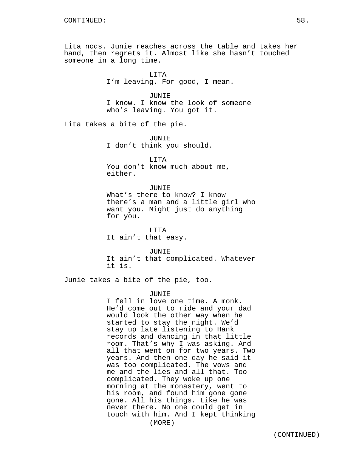Lita nods. Junie reaches across the table and takes her hand, then regrets it. Almost like she hasn't touched someone in a long time.

> LITA I'm leaving. For good, I mean.

JUNIE I know. I know the look of someone who's leaving. You got it.

Lita takes a bite of the pie.

JUNIE I don't think you should.

LITA You don't know much about me, either.

### **JUNIE**

What's there to know? I know there's a man and a little girl who want you. Might just do anything for you.

LITA It ain't that easy.

JUNIE It ain't that complicated. Whatever it is.

Junie takes a bite of the pie, too.

### JUNIE

I fell in love one time. A monk. He'd come out to ride and your dad would look the other way when he started to stay the night. We'd stay up late listening to Hank records and dancing in that little room. That's why I was asking. And all that went on for two years. Two years. And then one day he said it was too complicated. The vows and me and the lies and all that. Too complicated. They woke up one morning at the monastery, went to his room, and found him gone gone gone. All his things. Like he was never there. No one could get in touch with him. And I kept thinking (MORE)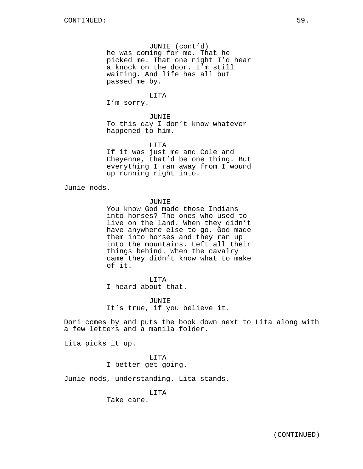JUNIE (cont'd) he was coming for me. That he picked me. That one night I'd hear a knock on the door. I'm still waiting. And life has all but passed me by.

### LITA

I'm sorry.

# JUNIE To this day I don't know whatever happened to him.

LITA

If it was just me and Cole and Cheyenne, that'd be one thing. But everything I ran away from I wound up running right into.

Junie nods.

# JUNIE

You know God made those Indians into horses? The ones who used to live on the land. When they didn't have anywhere else to go, God made them into horses and they ran up into the mountains. Left all their things behind. When the cavalry came they didn't know what to make of it.

# LITA

I heard about that.

JUNIE It's true, if you believe it.

Dori comes by and puts the book down next to Lita along with a few letters and a manila folder.

Lita picks it up.

# LITA I better get going.

Junie nods, understanding. Lita stands.

# LITA

Take care.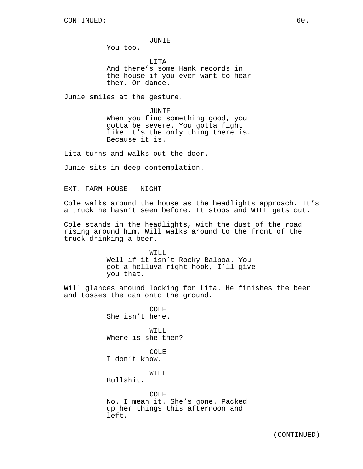#### JUNIE

You too.

LITA And there's some Hank records in the house if you ever want to hear them. Or dance.

Junie smiles at the gesture.

JUNIE When you find something good, you gotta be severe. You gotta fight like it's the only thing there is. Because it is.

Lita turns and walks out the door.

Junie sits in deep contemplation.

EXT. FARM HOUSE - NIGHT

Cole walks around the house as the headlights approach. It's a truck he hasn't seen before. It stops and WILL gets out.

Cole stands in the headlights, with the dust of the road rising around him. Will walks around to the front of the truck drinking a beer.

> WILL Well if it isn't Rocky Balboa. You got a helluva right hook, I'll give you that.

Will glances around looking for Lita. He finishes the beer and tosses the can onto the ground.

> COLE She isn't here. WILL Where is she then?

COLE I don't know.

WILL

Bullshit.

COLE No. I mean it. She's gone. Packed up her things this afternoon and left.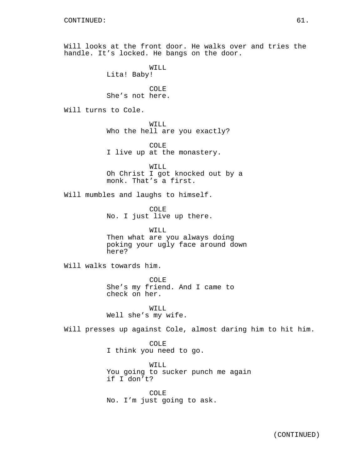Will looks at the front door. He walks over and tries the handle. It's locked. He bangs on the door.

> WILL Lita! Baby!

COLE She's not here.

Will turns to Cole.

WILL Who the hell are you exactly?

COLE I live up at the monastery.

WILL Oh Christ I got knocked out by a monk. That's a first.

Will mumbles and laughs to himself.

COLE No. I just live up there.

WILL Then what are you always doing poking your ugly face around down here?

Will walks towards him.

COLE She's my friend. And I came to check on her.

WTT.T. Well she's my wife.

Will presses up against Cole, almost daring him to hit him.

COLE I think you need to go.

WILL You going to sucker punch me again if I don't?

COLE No. I'm just going to ask.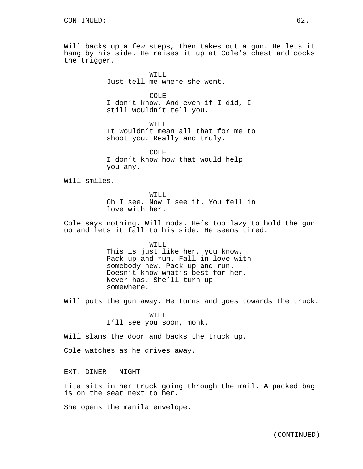Will backs up a few steps, then takes out a gun. He lets it hang by his side. He raises it up at Cole's chest and cocks the trigger.

> WILL Just tell me where she went.

COLE I don't know. And even if I did, I still wouldn't tell you.

WILL It wouldn't mean all that for me to shoot you. Really and truly.

COLE I don't know how that would help you any.

Will smiles.

WILL Oh I see. Now I see it. You fell in love with her.

Cole says nothing. Will nods. He's too lazy to hold the gun up and lets it fall to his side. He seems tired.

> WILL This is just like her, you know. Pack up and run. Fall in love with somebody new. Pack up and run. Doesn't know what's best for her. Never has. She'll turn up somewhere.

Will puts the gun away. He turns and goes towards the truck.

WILL I'll see you soon, monk.

Will slams the door and backs the truck up.

Cole watches as he drives away.

EXT. DINER - NIGHT

Lita sits in her truck going through the mail. A packed bag is on the seat next to her.

She opens the manila envelope.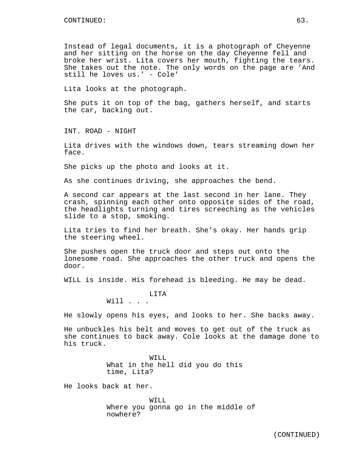Instead of legal documents, it is a photograph of Cheyenne and her sitting on the horse on the day Cheyenne fell and broke her wrist. Lita covers her mouth, fighting the tears. She takes out the note. The only words on the page are 'And still he loves us.' - Cole'

Lita looks at the photograph.

She puts it on top of the bag, gathers herself, and starts the car, backing out.

INT. ROAD - NIGHT

Lita drives with the windows down, tears streaming down her face.

She picks up the photo and looks at it.

As she continues driving, she approaches the bend.

A second car appears at the last second in her lane. They crash, spinning each other onto opposite sides of the road, the headlights turning and tires screeching as the vehicles slide to a stop, smoking.

Lita tries to find her breath. She's okay. Her hands grip the steering wheel.

She pushes open the truck door and steps out onto the lonesome road. She approaches the other truck and opens the door.

WILL is inside. His forehead is bleeding. He may be dead.

LITA Will . . .

He slowly opens his eyes, and looks to her. She backs away.

He unbuckles his belt and moves to get out of the truck as she continues to back away. Cole looks at the damage done to his truck.

> WILL What in the hell did you do this time, Lita?

He looks back at her.

WILL Where you gonna go in the middle of nowhere?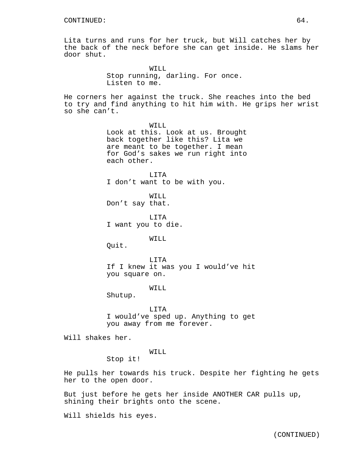Lita turns and runs for her truck, but Will catches her by the back of the neck before she can get inside. He slams her door shut.

> WILL Stop running, darling. For once. Listen to me.

He corners her against the truck. She reaches into the bed to try and find anything to hit him with. He grips her wrist so she can't.

> WILL. Look at this. Look at us. Brought back together like this? Lita we are meant to be together. I mean for God's sakes we run right into each other.

LITA I don't want to be with you.

WILL Don't say that.

LITA I want you to die.

WILL

Quit.

LITA If I knew it was you I would've hit you square on.

WTT.T.

Shutup.

LITA I would've sped up. Anything to get you away from me forever.

Will shakes her.

WILL

Stop it!

He pulls her towards his truck. Despite her fighting he gets her to the open door.

But just before he gets her inside ANOTHER CAR pulls up, shining their brights onto the scene.

Will shields his eyes.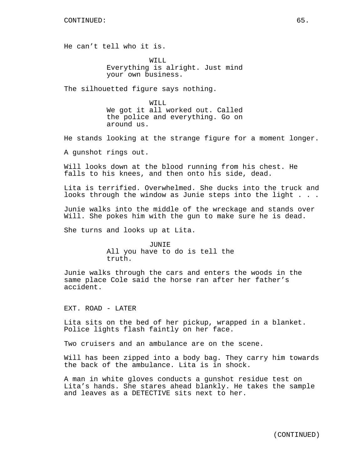He can't tell who it is.

WILL. Everything is alright. Just mind your own business.

The silhouetted figure says nothing.

WILL We got it all worked out. Called the police and everything. Go on around us.

He stands looking at the strange figure for a moment longer.

A gunshot rings out.

Will looks down at the blood running from his chest. He falls to his knees, and then onto his side, dead.

Lita is terrified. Overwhelmed. She ducks into the truck and looks through the window as Junie steps into the light . . .

Junie walks into the middle of the wreckage and stands over Will. She pokes him with the gun to make sure he is dead.

She turns and looks up at Lita.

JUNIE All you have to do is tell the truth.

Junie walks through the cars and enters the woods in the same place Cole said the horse ran after her father's accident.

EXT. ROAD - LATER

Lita sits on the bed of her pickup, wrapped in a blanket. Police lights flash faintly on her face.

Two cruisers and an ambulance are on the scene.

Will has been zipped into a body bag. They carry him towards the back of the ambulance. Lita is in shock.

A man in white gloves conducts a gunshot residue test on Lita's hands. She stares ahead blankly. He takes the sample and leaves as a DETECTIVE sits next to her.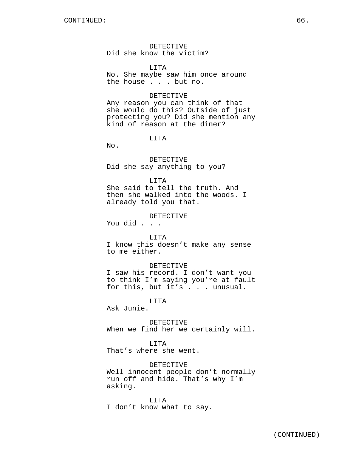DETECTIVE Did she know the victim?

**LITA** 

No. She maybe saw him once around the house . . . but no.

### DETECTIVE

Any reason you can think of that she would do this? Outside of just protecting you? Did she mention any kind of reason at the diner?

LITA

No.

DETECTIVE Did she say anything to you?

#### LITA

She said to tell the truth. And then she walked into the woods. I already told you that.

### DETECTIVE

You did . . .

# LITA

I know this doesn't make any sense to me either.

#### DETECTIVE

I saw his record. I don't want you to think I'm saying you're at fault for this, but it's . . . unusual.

LITA

Ask Junie.

DETECTIVE When we find her we certainly will.

LITA That's where she went.

DETECTIVE Well innocent people don't normally run off and hide. That's why I'm asking.

LITA I don't know what to say.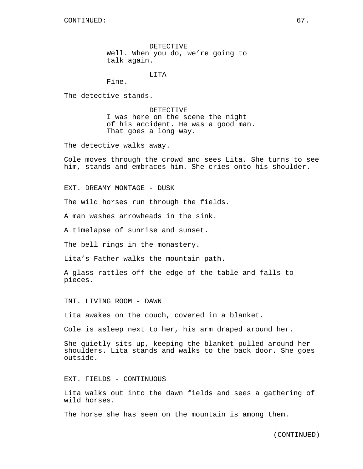DETECTIVE Well. When you do, we're going to talk again.

LITA

Fine.

The detective stands.

DETECTIVE I was here on the scene the night of his accident. He was a good man. That goes a long way.

The detective walks away.

Cole moves through the crowd and sees Lita. She turns to see him, stands and embraces him. She cries onto his shoulder.

EXT. DREAMY MONTAGE - DUSK

The wild horses run through the fields.

A man washes arrowheads in the sink.

A timelapse of sunrise and sunset.

The bell rings in the monastery.

Lita's Father walks the mountain path.

A glass rattles off the edge of the table and falls to pieces.

INT. LIVING ROOM - DAWN

Lita awakes on the couch, covered in a blanket.

Cole is asleep next to her, his arm draped around her.

She quietly sits up, keeping the blanket pulled around her shoulders. Lita stands and walks to the back door. She goes outside.

EXT. FIELDS - CONTINUOUS

Lita walks out into the dawn fields and sees a gathering of wild horses.

The horse she has seen on the mountain is among them.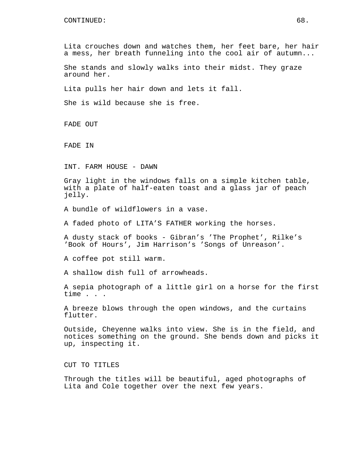Lita crouches down and watches them, her feet bare, her hair a mess, her breath funneling into the cool air of autumn...

She stands and slowly walks into their midst. They graze around her.

Lita pulls her hair down and lets it fall.

She is wild because she is free.

FADE OUT

FADE IN

INT. FARM HOUSE - DAWN

Gray light in the windows falls on a simple kitchen table, with a plate of half-eaten toast and a glass jar of peach jelly.

A bundle of wildflowers in a vase.

A faded photo of LITA'S FATHER working the horses.

A dusty stack of books - Gibran's 'The Prophet', Rilke's 'Book of Hours', Jim Harrison's 'Songs of Unreason'.

A coffee pot still warm.

A shallow dish full of arrowheads.

A sepia photograph of a little girl on a horse for the first time . . .

A breeze blows through the open windows, and the curtains flutter.

Outside, Cheyenne walks into view. She is in the field, and notices something on the ground. She bends down and picks it up, inspecting it.

CUT TO TITLES

Through the titles will be beautiful, aged photographs of Lita and Cole together over the next few years.